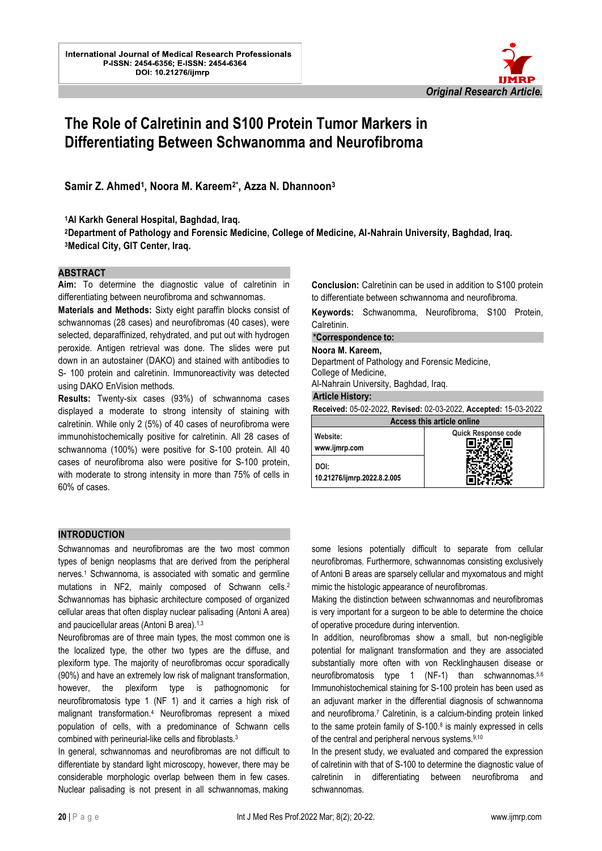

# **The Role of Calretinin and S100 Protein Tumor Markers in Differentiating Between Schwanomma and Neurofibroma**

**Samir Z. Ahmed<sup>1</sup> , Noora M. Kareem2\* , Azza N. Dhannoon<sup>3</sup>**

**<sup>1</sup>Al Karkh General Hospital, Baghdad, Iraq.**

**<sup>2</sup>Department of Pathology and Forensic Medicine, College of Medicine, Al-Nahrain University, Baghdad, Iraq. <sup>3</sup>Medical City, GIT Center, Iraq.** 

#### **ABSTRACT**

**Aim:** To determine the diagnostic value of calretinin in differentiating between neurofibroma and schwannomas.

**Materials and Methods:** Sixty eight paraffin blocks consist of schwannomas (28 cases) and neurofibromas (40 cases), were selected, deparaffinized, rehydrated, and put out with hydrogen peroxide. Antigen retrieval was done. The slides were put down in an autostainer (DAKO) and stained with antibodies to S- 100 protein and calretinin. Immunoreactivity was detected using DAKO EnVision methods.

**Results:** Twenty-six cases (93%) of schwannoma cases displayed a moderate to strong intensity of staining with calretinin. While only 2 (5%) of 40 cases of neurofibroma were immunohistochemically positive for calretinin. All 28 cases of schwannoma (100%) were positive for S-100 protein. All 40 cases of neurofibroma also were positive for S-100 protein, with moderate to strong intensity in more than 75% of cells in 60% of cases.

**Conclusion:** Calretinin can be used in addition to S100 protein to differentiate between schwannoma and neurofibroma.

**Keywords:** Schwanomma, Neurofibroma, S100 Protein, Calretinin.

## **\*Correspondence to:**

**Noora M. Kareem,**

l.

Department of Pathology and Forensic Medicine, College of Medicine,

Al-Nahrain University, Baghdad, Iraq.

#### **Article History:**

**10.21276/ijmrp.2022.8.2.005**

 **DOI:**

| Received: 05-02-2022, Revised: 02-03-2022, Accepted: 15-03-2022 |                     |  |
|-----------------------------------------------------------------|---------------------|--|
| Access this article online                                      |                     |  |
| Website:<br>www.ijmrp.com                                       | Quick Response code |  |

#### **INTRODUCTION**

Schwannomas and neurofibromas are the two most common types of benign neoplasms that are derived from the peripheral nerves.<sup>1</sup> Schwannoma, is associated with somatic and germline mutations in NF2, mainly composed of Schwann cells.<sup>2</sup> Schwannomas has biphasic architecture composed of organized cellular areas that often display nuclear palisading (Antoni A area) and paucicellular areas (Antoni B area).<sup>1,3</sup>

Neurofibromas are of three main types, the most common one is the localized type, the other two types are the diffuse, and plexiform type. The majority of neurofibromas occur sporadically (90%) and have an extremely low risk of malignant transformation, however, the plexiform type is pathognomonic for neurofibromatosis type 1 (NF 1) and it carries a high risk of malignant transformation.<sup>4</sup> Neurofibromas represent a mixed population of cells, with a predominance of Schwann cells combined with perineurial-like cells and fibroblasts.<sup>3</sup>

In general, schwannomas and neurofibromas are not difficult to differentiate by standard light microscopy, however, there may be considerable morphologic overlap between them in few cases. Nuclear palisading is not present in all schwannomas, making

some lesions potentially difficult to separate from cellular neurofibromas. Furthermore, schwannomas consisting exclusively of Antoni B areas are sparsely cellular and myxomatous and might mimic the histologic appearance of neurofibromas.

Making the distinction between schwannomas and neurofibromas is very important for a surgeon to be able to determine the choice of operative procedure during intervention.

In addition, neurofibromas show a small, but non-negligible potential for malignant transformation and they are associated substantially more often with von Recklinghausen disease or neurofibromatosis type 1 (NF-1) than schwannomas.<sup>5,6</sup> Immunohistochemical staining for S-100 protein has been used as an adjuvant marker in the differential diagnosis of schwannoma and neurofibroma.<sup>7</sup> Calretinin, is a calcium-binding protein linked to the same protein family of  $S-100.8$  is mainly expressed in cells of the central and peripheral nervous systems.9,10

In the present study, we evaluated and compared the expression of calretinin with that of S-100 to determine the diagnostic value of calretinin in differentiating between neurofibroma and schwannomas.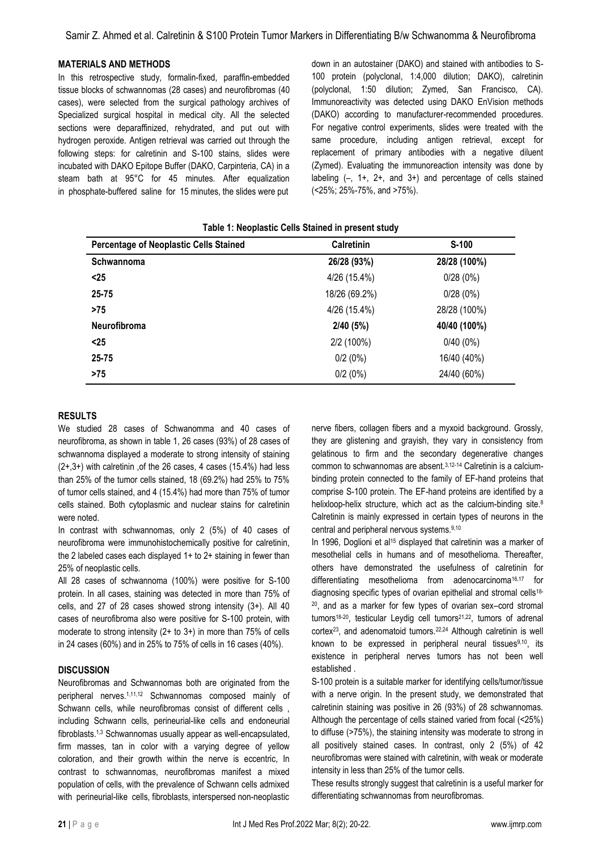#### **MATERIALS AND METHODS**

In this retrospective study, formalin-fixed, paraffin-embedded tissue blocks of schwannomas (28 cases) and neurofibromas (40 cases), were selected from the surgical pathology archives of Specialized surgical hospital in medical city. All the selected sections were deparaffinized, rehydrated, and put out with hydrogen peroxide. Antigen retrieval was carried out through the following steps: for calretinin and S-100 stains, slides were incubated with DAKO Epitope Buffer (DAKO, Carpinteria, CA) in a steam bath at 95°C for 45 minutes. After equalization in phosphate-buffered saline for 15 minutes, the slides were put down in an autostainer (DAKO) and stained with antibodies to S-100 protein (polyclonal, 1:4,000 dilution; DAKO), calretinin (polyclonal, 1:50 dilution; Zymed, San Francisco, CA). Immunoreactivity was detected using DAKO EnVision methods (DAKO) according to manufacturer-recommended procedures. For negative control experiments, slides were treated with the same procedure, including antigen retrieval, except for replacement of primary antibodies with a negative diluent (Zymed). Evaluating the immunoreaction intensity was done by labeling  $(-, 1+, 2+,$  and  $3+)$  and percentage of cells stained (<25%; 25%-75%, and >75%).

| <b>TANIVE IT NOVPROTIVE SUITS STAILIVA III PLUSSIII STAMP</b><br><b>Calretinin</b><br>$S-100$<br><b>Percentage of Neoplastic Cells Stained</b> |               |              |  |
|------------------------------------------------------------------------------------------------------------------------------------------------|---------------|--------------|--|
|                                                                                                                                                |               |              |  |
| Schwannoma                                                                                                                                     | 26/28 (93%)   | 28/28 (100%) |  |
| $25$                                                                                                                                           | 4/26 (15.4%)  | 0/28(0%)     |  |
| 25-75                                                                                                                                          | 18/26 (69.2%) | 0/28(0%)     |  |
| >75                                                                                                                                            | 4/26 (15.4%)  | 28/28 (100%) |  |
| <b>Neurofibroma</b>                                                                                                                            | 2/40 (5%)     | 40/40 (100%) |  |
| $25$                                                                                                                                           | 2/2 (100%)    | $0/40(0\%)$  |  |
| 25-75                                                                                                                                          | 0/2(0%)       | 16/40 (40%)  |  |
| >75                                                                                                                                            | 0/2(0%)       | 24/40 (60%)  |  |

# **Table 1: Neoplastic Cells Stained in present study**

# **RESULTS**

We studied 28 cases of Schwanomma and 40 cases of neurofibroma, as shown in table 1, 26 cases (93%) of 28 cases of schwannoma displayed a moderate to strong intensity of staining (2+,3+) with calretinin ,of the 26 cases, 4 cases (15.4%) had less than 25% of the tumor cells stained, 18 (69.2%) had 25% to 75% of tumor cells stained, and 4 (15.4%) had more than 75% of tumor cells stained. Both cytoplasmic and nuclear stains for calretinin were noted.

In contrast with schwannomas, only 2 (5%) of 40 cases of neurofibroma were immunohistochemically positive for calretinin, the 2 labeled cases each displayed 1+ to 2+ staining in fewer than 25% of neoplastic cells.

All 28 cases of schwannoma (100%) were positive for S-100 protein. In all cases, staining was detected in more than 75% of cells, and 27 of 28 cases showed strong intensity (3+). All 40 cases of neurofibroma also were positive for S-100 protein, with moderate to strong intensity (2+ to 3+) in more than 75% of cells in 24 cases (60%) and in 25% to 75% of cells in 16 cases (40%).

#### **DISCUSSION**

Neurofibromas and Schwannomas both are originated from the peripheral nerves.1,11,12 Schwannomas composed mainly of Schwann cells, while neurofibromas consist of different cells , including Schwann cells, perineurial-like cells and endoneurial fibroblasts.1,3 Schwannomas usually appear as well-encapsulated, firm masses, tan in color with a varying degree of yellow coloration, and their growth within the nerve is eccentric, In contrast to schwannomas, neurofibromas manifest a mixed population of cells, with the prevalence of Schwann cells admixed with perineurial-like cells, fibroblasts, interspersed non-neoplastic nerve fibers, collagen fibers and a myxoid background. Grossly, they are glistening and grayish, they vary in consistency from gelatinous to firm and the secondary degenerative changes common to schwannomas are absent.3,12-14 Calretinin is a calciumbinding protein connected to the family of EF-hand proteins that comprise S-100 protein. The EF-hand proteins are identified by a helixloop-helix structure, which act as the calcium-binding site.<sup>8</sup> Calretinin is mainly expressed in certain types of neurons in the central and peripheral nervous systems.9,10

In 1996, Doglioni et al<sup>15</sup> displayed that calretinin was a marker of mesothelial cells in humans and of mesothelioma. Thereafter, others have demonstrated the usefulness of calretinin for differentiating mesothelioma from adenocarcinoma<sup>16,17</sup> for diagnosing specific types of ovarian epithelial and stromal cells18- <sup>20</sup>, and as a marker for few types of ovarian sex–cord stromal tumors<sup>18-20</sup>, testicular Leydig cell tumors<sup>21,22</sup>, tumors of adrenal cortex23, and adenomatoid tumors.22,24 Although calretinin is well known to be expressed in peripheral neural tissues<sup>9,10</sup>, its existence in peripheral nerves tumors has not been well established .

S-100 protein is a suitable marker for identifying cells/tumor/tissue with a nerve origin. In the present study, we demonstrated that calretinin staining was positive in 26 (93%) of 28 schwannomas. Although the percentage of cells stained varied from focal (<25%) to diffuse (>75%), the staining intensity was moderate to strong in all positively stained cases. In contrast, only 2 (5%) of 42 neurofibromas were stained with calretinin, with weak or moderate intensity in less than 25% of the tumor cells.

These results strongly suggest that calretinin is a useful marker for differentiating schwannomas from neurofibromas.